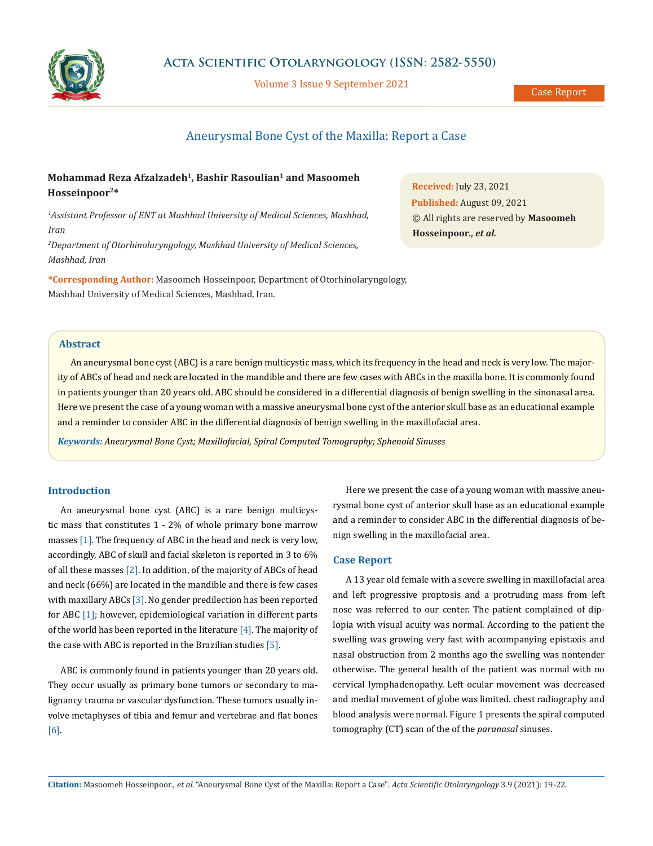

# **Acta Scientific Otolaryngology (ISSN: 2582-5550)**

Volume 3 Issue 9 September 2021

# Aneurysmal Bone Cyst of the Maxilla: Report a Case

# **Mohammad Reza Afzalzadeh1, Bashir Rasoulian1 and Masoomeh Hosseinpoor2\***

*1 Assistant Professor of ENT at Mashhad University of Medical Sciences, Mashhad, Iran*

*2 Department of Otorhinolaryngology, Mashhad University of Medical Sciences, Mashhad, Iran*

**\*Corresponding Author:** Masoomeh Hosseinpoor, Department of Otorhinolaryngology, Mashhad University of Medical Sciences, Mashhad, Iran.

# **Abstract**

An aneurysmal bone cyst (ABC) is a rare benign multicystic mass, which its frequency in the head and neck is very low. The majority of ABCs of head and neck are located in the mandible and there are few cases with ABCs in the maxilla bone. It is commonly found in patients younger than 20 years old. ABC should be considered in a differential diagnosis of benign swelling in the sinonasal area. Here we present the case of a young woman with a massive aneurysmal bone cyst of the anterior skull base as an educational example and a reminder to consider ABC in the differential diagnosis of benign swelling in the maxillofacial area.

*Keywords: Aneurysmal Bone Cyst; Maxillofacial, Spiral Computed Tomography; Sphenoid Sinuses*

#### **Introduction**

An aneurysmal bone cyst (ABC) is a rare benign multicystic mass that constitutes 1 - 2% of whole primary bone marrow masses [1]. The frequency of ABC in the head and neck is very low, accordingly, ABC of skull and facial skeleton is reported in 3 to 6% of all these masses [2]. In addition, of the majority of ABCs of head and neck (66%) are located in the mandible and there is few cases with maxillary ABCs [3]. No gender predilection has been reported for ABC [1]; however, epidemiological variation in different parts of the world has been reported in the literature [4]. The majority of the case with ABC is reported in the Brazilian studies [5].

ABC is commonly found in patients younger than 20 years old. They occur usually as primary bone tumors or secondary to malignancy trauma or vascular dysfunction. These tumors usually involve metaphyses of tibia and femur and vertebrae and flat bones [6].

Here we present the case of a young woman with massive aneurysmal bone cyst of anterior skull base as an educational example and a reminder to consider ABC in the differential diagnosis of benign swelling in the maxillofacial area.

#### **Case Report**

A 13 year old female with a severe swelling in maxillofacial area and left progressive proptosis and a protruding mass from left nose was referred to our center. The patient complained of diplopia with visual acuity was normal. According to the patient the swelling was growing very fast with accompanying epistaxis and nasal obstruction from 2 months ago the swelling was nontender otherwise. The general health of the patient was normal with no cervical lymphadenopathy. Left ocular movement was decreased and medial movement of globe was limited. chest radiography and blood analysis were normal. Figure 1 presents the spiral computed tomography (CT) scan of the of the *paranasal* sinuses.

**Received:** July 23, 2021 **Published:** August 09, 2021 © All rights are reserved by **Masoomeh Hosseinpoor***., et al.*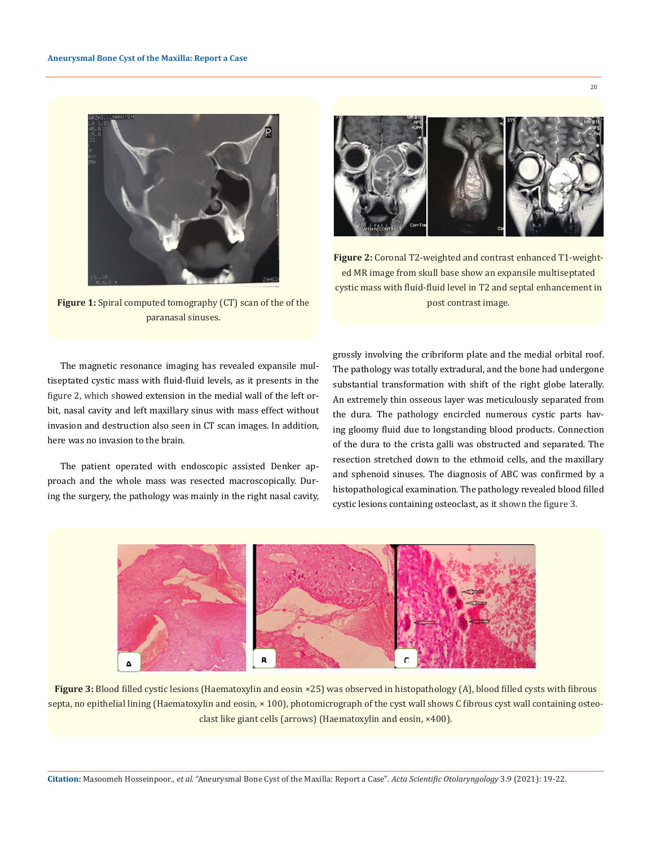

**Figure 1:** Spiral computed tomography (CT) scan of the of the paranasal sinuses.

The magnetic resonance imaging has revealed expansile multiseptated cystic mass with fluid-fluid levels, as it presents in the figure 2, which showed extension in the medial wall of the left orbit, nasal cavity and left maxillary sinus with mass effect without invasion and destruction also seen in CT scan images. In addition, here was no invasion to the brain.

The patient operated with endoscopic assisted Denker approach and the whole mass was resected macroscopically. During the surgery, the pathology was mainly in the right nasal cavity,



**Figure 2:** Coronal T2-weighted and contrast enhanced T1-weighted MR image from skull base show an expansile multiseptated cystic mass with fluid-fluid level in T2 and septal enhancement in post contrast image.

grossly involving the cribriform plate and the medial orbital roof. The pathology was totally extradural, and the bone had undergone substantial transformation with shift of the right globe laterally. An extremely thin osseous layer was meticulously separated from the dura. The pathology encircled numerous cystic parts having gloomy fluid due to longstanding blood products. Connection of the dura to the crista galli was obstructed and separated. The resection stretched down to the ethmoid cells, and the maxillary and sphenoid sinuses. The diagnosis of ABC was confirmed by a histopathological examination. The pathology revealed blood filled cystic lesions containing osteoclast, as it shown the figure 3.



**Figure 3:** Blood filled cystic lesions (Haematoxylin and eosin ×25) was observed in histopathology (A), blood filled cysts with fibrous septa, no epithelial lining (Haematoxylin and eosin, × 100), photomicrograph of the cyst wall shows C fibrous cyst wall containing osteoclast like giant cells (arrows) (Haematoxylin and eosin, ×400).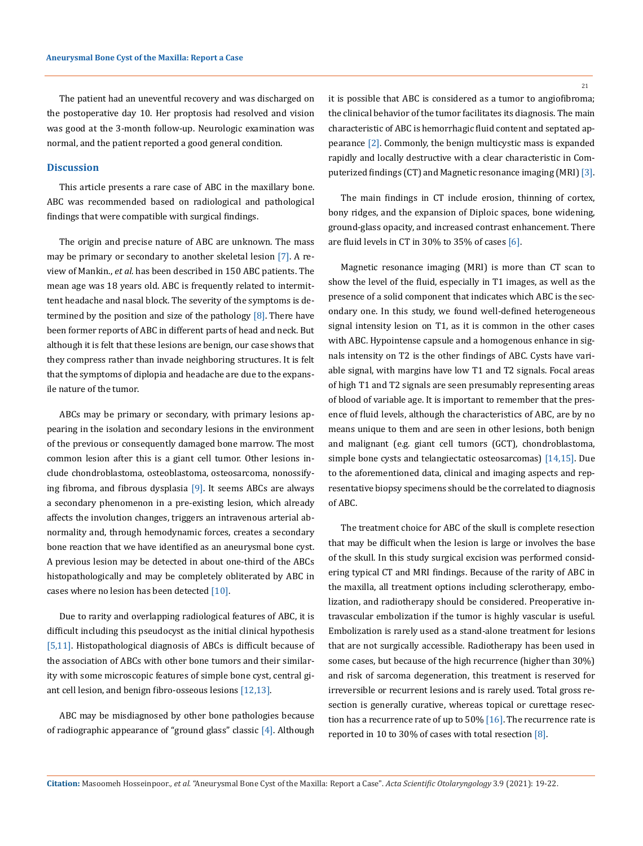The patient had an uneventful recovery and was discharged on the postoperative day 10. Her proptosis had resolved and vision was good at the 3-month follow-up. Neurologic examination was normal, and the patient reported a good general condition.

#### **Discussion**

This article presents a rare case of ABC in the maxillary bone. ABC was recommended based on radiological and pathological findings that were compatible with surgical findings.

The origin and precise nature of ABC are unknown. The mass may be primary or secondary to another skeletal lesion [7]. A review of Mankin., *et al.* has been described in 150 ABC patients. The mean age was 18 years old. ABC is frequently related to intermittent headache and nasal block. The severity of the symptoms is determined by the position and size of the pathology  $[8]$ . There have been former reports of ABC in different parts of head and neck. But although it is felt that these lesions are benign, our case shows that they compress rather than invade neighboring structures. It is felt that the symptoms of diplopia and headache are due to the expansile nature of the tumor.

ABCs may be primary or secondary, with primary lesions appearing in the isolation and secondary lesions in the environment of the previous or consequently damaged bone marrow. The most common lesion after this is a giant cell tumor. Other lesions include chondroblastoma, osteoblastoma, osteosarcoma, nonossifying fibroma, and fibrous dysplasia [9]. It seems ABCs are always a secondary phenomenon in a pre-existing lesion, which already affects the involution changes, triggers an intravenous arterial abnormality and, through hemodynamic forces, creates a secondary bone reaction that we have identified as an aneurysmal bone cyst. A previous lesion may be detected in about one-third of the ABCs histopathologically and may be completely obliterated by ABC in cases where no lesion has been detected [10].

Due to rarity and overlapping radiological features of ABC, it is difficult including this pseudocyst as the initial clinical hypothesis [5,11]. Histopathological diagnosis of ABCs is difficult because of the association of ABCs with other bone tumors and their similarity with some microscopic features of simple bone cyst, central giant cell lesion, and benign fibro-osseous lesions [12,13].

ABC may be misdiagnosed by other bone pathologies because of radiographic appearance of "ground glass" classic  $[4]$ . Although 21

it is possible that ABC is considered as a tumor to angiofibroma; the clinical behavior of the tumor facilitates its diagnosis. The main characteristic of ABC is hemorrhagic fluid content and septated appearance [2]. Commonly, the benign multicystic mass is expanded rapidly and locally destructive with a clear characteristic in Computerized findings (CT) and Magnetic resonance imaging (MRI) [3].

The main findings in CT include erosion, thinning of cortex, bony ridges, and the expansion of Diploic spaces, bone widening, ground-glass opacity, and increased contrast enhancement. There are fluid levels in CT in 30% to 35% of cases [6].

Magnetic resonance imaging (MRI) is more than CT scan to show the level of the fluid, especially in T1 images, as well as the presence of a solid component that indicates which ABC is the secondary one. In this study, we found well-defined heterogeneous signal intensity lesion on T1, as it is common in the other cases with ABC. Hypointense capsule and a homogenous enhance in signals intensity on T2 is the other findings of ABC. Cysts have variable signal, with margins have low T1 and T2 signals. Focal areas of high T1 and T2 signals are seen presumably representing areas of blood of variable age. It is important to remember that the presence of fluid levels, although the characteristics of ABC, are by no means unique to them and are seen in other lesions, both benign and malignant (e.g. giant cell tumors (GCT), chondroblastoma, simple bone cysts and telangiectatic osteosarcomas) [14,15]. Due to the aforementioned data, clinical and imaging aspects and representative biopsy specimens should be the correlated to diagnosis of ABC.

The treatment choice for ABC of the skull is complete resection that may be difficult when the lesion is large or involves the base of the skull. In this study surgical excision was performed considering typical CT and MRI findings. Because of the rarity of ABC in the maxilla, all treatment options including sclerotherapy, embolization, and radiotherapy should be considered. Preoperative intravascular embolization if the tumor is highly vascular is useful. Embolization is rarely used as a stand-alone treatment for lesions that are not surgically accessible. Radiotherapy has been used in some cases, but because of the high recurrence (higher than 30%) and risk of sarcoma degeneration, this treatment is reserved for irreversible or recurrent lesions and is rarely used. Total gross resection is generally curative, whereas topical or curettage resection has a recurrence rate of up to 50%  $[16]$ . The recurrence rate is reported in 10 to 30% of cases with total resection [8].